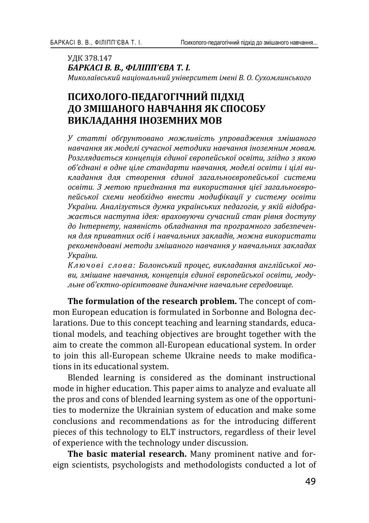УЛК 378.147 *<i>ЪАРКАСІ В. В., ФІЛІПП'ЄВА Т. І. ʛˋˍˑˎ˃˫˅˔˟ˍˋˌ ː˃˙˪ˑː˃ˎ˟ːˋˌ ˖ː˪˅ˈ˓˔ˋ˕ˈ˕ ˪ˏˈː˪ ʑ. ʝ. ʠ˖˘ˑˏˎˋː˔˟ˍˑˆˑ*

# ПСИХОЛОГО-ПЕДАГОГІЧНИЙ ПІДХІД **ЛО ЗМІШАНОГО НАВЧАННЯ ЯК СПОСОБУ** ВИКЛАДАННЯ ІНОЗЕМНИХ МОВ

У статті обґрунтовано можливість упровадження змішаного навчання як моделі сучасної методики навчання іноземним мовам. Розглядається концепція єдиної європейської освіти, згідно з якою  $o$ б'єднані в одне ціле стандарти навчання, моделі освіти і цілі викладання для створення єдиної загальноєвропейської системи *ˑ˔˅˪˕ˋ. ʖ ˏˈ˕ˑˡ ˒˓ˋ˦ˇː˃ːːˢ ˕˃ ˅ˋˍˑ˓ˋ˔˕˃ːːˢ ˙˪˦˫ ˊ˃ˆ˃ˎ˟ːˑ˦˅˓ˑ* пейської схеми необхідно внести модифікації у систему освіти України. Аналізується думка українських педагогів, у якій відображається наступна ідея: враховуючи сучасний стан рівня доступу до Інтернету, наявність обладнання та програмного забезпечен- $\mu$ я для приватних осіб і навчальних закладів, можна використати рекомендовані методи змішаного навчання у навчальних закладах *ʢˍ˓˃˫ːˋ.*

Ключові слова: Болонський процес, викладання англійської мо-*˅ˋ, ˊˏ˪˛˃ːˈ ː˃˅˚˃ːːˢ, ˍˑː˙ˈ˒˙˪ˢ ˦ˇˋːˑ˫ ˦˅˓ˑ˒ˈˌ˔˟ˍˑ˫ ˑ˔˅˪˕ˋ, ˏˑˇ˖* льне об'єктно-орієнтоване динамічне навчальне середовище.

The formulation of the research problem. The concept of common European education is formulated in Sorbonne and Bologna declarations. Due to this concept teaching and learning standards, educational models, and teaching objectives are brought together with the aim to create the common all-European educational system. In order to join this all-European scheme Ukraine needs to make modifications in its educational system.

Blended learning is considered as the dominant instructional mode in higher education. This paper aims to analyze and evaluate all the pros and cons of blended learning system as one of the opportunities to modernize the Ukrainian system of education and make some conclusions and recommendations as for the introducing different pieces of this technology to ELT instructors, regardless of their level of experience with the technology under discussion.

**The basic material research.** Many prominent native and foreign scientists, psychologists and methodologists conducted a lot of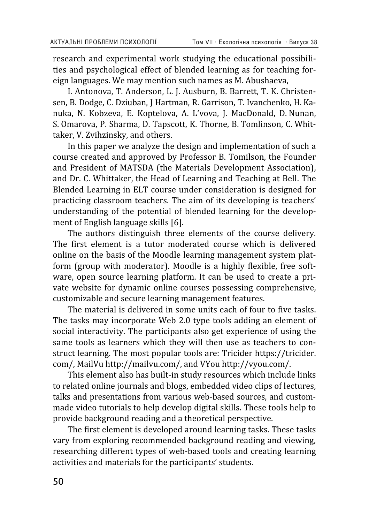research and experimental work studying the educational possibilities and psychological effect of blended learning as for teaching foreign languages. We may mention such names as M. Abushaeva,

I. Antonova, T. Anderson, L. J. Ausburn, B. Barrett, T. K. Christensen, B. Dodge, C. Dziuban, J Hartman, R. Garrison, T. Ivanchenko, H. Kanuka, N. Kobzeva, E. Koptelova, A. L'vova, J. MacDonald, D. Nunan, S. Omarova, P. Sharma, D. Tapscott, K. Thorne, B. Tomlinson, C. Whittaker, V. Zvihzinsky, and others.

In this paper we analyze the design and implementation of such a course created and approved by Professor B. Tomilson, the Founder and President of MATSDA (the Materials Development Association). and Dr. C. Whittaker, the Head of Learning and Teaching at Bell. The Blended Learning in ELT course under consideration is designed for practicing classroom teachers. The aim of its developing is teachers' understanding of the potential of blended learning for the development of English language skills [6].

The authors distinguish three elements of the course delivery. The first element is a tutor moderated course which is delivered online on the basis of the Moodle learning management system platform (group with moderator). Moodle is a highly flexible, free software, open source learning platform. It can be used to create a private website for dynamic online courses possessing comprehensive, customizable and secure learning management features.

The material is delivered in some units each of four to five tasks. The tasks may incorporate Web 2.0 type tools adding an element of social interactivity. The participants also get experience of using the same tools as learners which they will then use as teachers to construct learning. The most popular tools are: Tricider https://tricider. com/, MailVu http://mailvu.com/, and VYou http://vyou.com/.

This element also has built-in study resources which include links to related online journals and blogs, embedded video clips of lectures, talks and presentations from various web-based sources, and custommade video tutorials to help develop digital skills. These tools help to provide background reading and a theoretical perspective.

The first element is developed around learning tasks. These tasks vary from exploring recommended background reading and viewing, researching different types of web-based tools and creating learning activities and materials for the participants' students.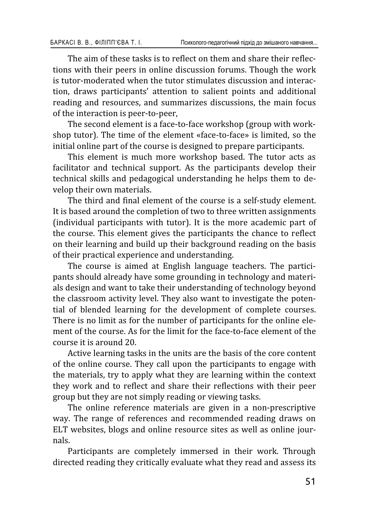The aim of these tasks is to reflect on them and share their reflections with their peers in online discussion forums. Though the work is tutor-moderated when the tutor stimulates discussion and interaction, draws participants' attention to salient points and additional reading and resources, and summarizes discussions, the main focus of the interaction is peer-to-peer.

The second element is a face-to-face workshop (group with workshop tutor). The time of the element «face-to-face» is limited, so the initial online part of the course is designed to prepare participants.

This element is much more workshop based. The tutor acts as facilitator and technical support. As the participants develop their technical skills and pedagogical understanding he helps them to develop their own materials.

The third and final element of the course is a self-study element. It is based around the completion of two to three written assignments (individual participants with tutor). It is the more academic part of the course. This element gives the participants the chance to reflect on their learning and build up their background reading on the basis of their practical experience and understanding.

The course is aimed at English language teachers. The participants should already have some grounding in technology and materials design and want to take their understanding of technology beyond the classroom activity level. They also want to investigate the potential of blended learning for the development of complete courses. There is no limit as for the number of participants for the online element of the course. As for the limit for the face-to-face element of the course it is around 20.

Active learning tasks in the units are the basis of the core content of the online course. They call upon the participants to engage with the materials, try to apply what they are learning within the context they work and to reflect and share their reflections with their peer group but they are not simply reading or viewing tasks.

The online reference materials are given in a non-prescriptive way. The range of references and recommended reading draws on ELT websites, blogs and online resource sites as well as online journals.

Participants are completely immersed in their work. Through directed reading they critically evaluate what they read and assess its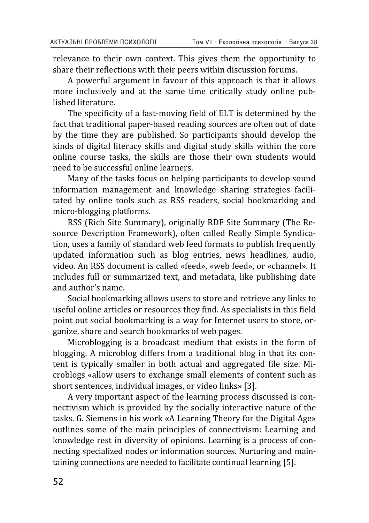relevance to their own context. This gives them the opportunity to share their reflections with their peers within discussion forums.

A powerful argument in favour of this approach is that it allows more inclusively and at the same time critically study online published literature.

The specificity of a fast-moving field of ELT is determined by the fact that traditional paper-based reading sources are often out of date by the time they are published. So participants should develop the kinds of digital literacy skills and digital study skills within the core online course tasks, the skills are those their own students would need to be successful online learners.

Many of the tasks focus on helping participants to develop sound information management and knowledge sharing strategies facilitated by online tools such as RSS readers, social bookmarking and micro-blogging platforms.

RSS (Rich Site Summary), originally RDF Site Summary (The Resource Description Framework), often called Really Simple Syndication, uses a family of standard web feed formats to publish frequently updated information such as blog entries, news headlines, audio, video. An RSS document is called «feed», «web feed», or «channel». It includes full or summarized text, and metadata, like publishing date and author's name.

Social bookmarking allows users to store and retrieve any links to useful online articles or resources they find. As specialists in this field point out social bookmarking is a way for Internet users to store, organize, share and search bookmarks of web pages.

Microblogging is a broadcast medium that exists in the form of blogging. A microblog differs from a traditional blog in that its content is typically smaller in both actual and aggregated file size. Microblogs «allow users to exchange small elements of content such as short sentences, individual images, or video links» [3].

A very important aspect of the learning process discussed is connectivism which is provided by the socially interactive nature of the tasks. G. Siemens in his work «A Learning Theory for the Digital Age» outlines some of the main principles of connectivism: Learning and knowledge rest in diversity of opinions. Learning is a process of connecting specialized nodes or information sources. Nurturing and maintaining connections are needed to facilitate continual learning [5].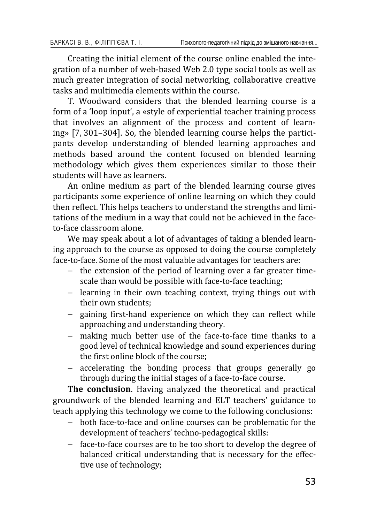Creating the initial element of the course online enabled the integration of a number of web-based Web 2.0 type social tools as well as much greater integration of social networking, collaborative creative tasks and multimedia elements within the course.

T. Woodward considers that the blended learning course is a form of a 'loop input', a «style of experiential teacher training process that involves an alignment of the process and content of learning» [7, 301–304]. So, the blended learning course helps the participants develop understanding of blended learning approaches and methods based around the content focused on blended learning methodology which gives them experiences similar to those their students will have as learners.

An online medium as part of the blended learning course gives participants some experience of online learning on which they could then reflect. This helps teachers to understand the strengths and limitations of the medium in a way that could not be achieved in the faceto-face classroom alone.

We may speak about a lot of advantages of taking a blended learning approach to the course as opposed to doing the course completely face-to-face. Some of the most valuable advantages for teachers are:

- the extension of the period of learning over a far greater timescale than would be possible with face-to-face teaching;
- − learning in their own teaching context, trying things out with their own students:
- gaining first-hand experience on which they can reflect while approaching and understanding theory.
- making much better use of the face-to-face time thanks to a good level of technical knowledge and sound experiences during the first online block of the course;
- accelerating the bonding process that groups generally go through during the initial stages of a face-to-face course.

**The conclusion.** Having analyzed the theoretical and practical groundwork of the blended learning and ELT teachers' guidance to teach applying this technology we come to the following conclusions:

- both face-to-face and online courses can be problematic for the development of teachers' techno-pedagogical skills:
- face-to-face courses are to be too short to develop the degree of balanced critical understanding that is necessary for the effective use of technology;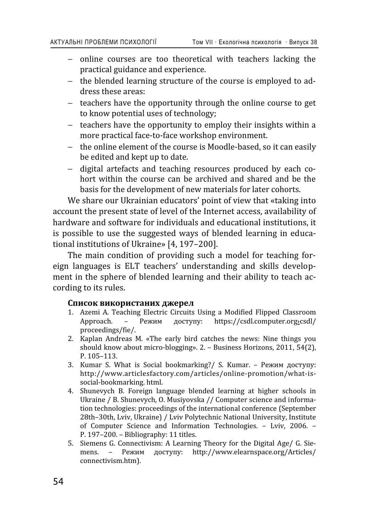- online courses are too theoretical with teachers lacking the practical guidance and experience.
- the blended learning structure of the course is employed to address these areas:
- teachers have the opportunity through the online course to get to know potential uses of technology;
- teachers have the opportunity to employ their insights within a more practical face-to-face workshop environment.
- the online element of the course is Moodle-based, so it can easily be edited and kept up to date.
- digital artefacts and teaching resources produced by each cohort within the course can be archived and shared and be the basis for the development of new materials for later cohorts.

We share our Ukrainian educators' point of view that «taking into account the present state of level of the Internet access, availability of hardware and software for individuals and educational institutions, it is possible to use the suggested ways of blended learning in educational institutions of Ukraine» [4, 197-200].

The main condition of providing such a model for teaching foreign languages is ELT teachers' understanding and skills development in the sphere of blended learning and their ability to teach according to its rules.

#### Список використаних джерел

- 1. Azemi A. Teaching Electric Circuits Using a Modified Flipped Classroom<br>Approach. Режим доступу: https://csdl.computer.org>csdl/  $\mu$ σ / https://csdl.computer.org>csdl/ proceedings/fie/.
- 2. Kaplan Andreas M. «The early bird catches the news: Nine things you should know about micro-blogging». 2. - Business Horizons, 2011, 54(2),  $P. 105 - 113.$
- 3. Kumar S. What is Social bookmarking?/ S. Kumar. Режим доступу: http://www.articlesfactory.com/articles/online-promotion/what-issocial-bookmarking. html.
- 4. Shunevych B. Foreign language blended learning at higher schools in Ukraine / B. Shunevych, O. Musiyovska // Computer science and information technologies: proceedings of the international conference (September 28th-30th, Lviv, Ukraine) / Lviv Polytechnic National University, Institute of Computer Science and Information Technologies. - Lviv, 2006. -P. 197-200. - Bibliography: 11 titles.
- 5. Siemens G. Connectivism: A Learning Theory for the Digital Age/ G. Siemens. - Режим доступу: http://www.elearnspace.org/Articles/ connectivism.htm).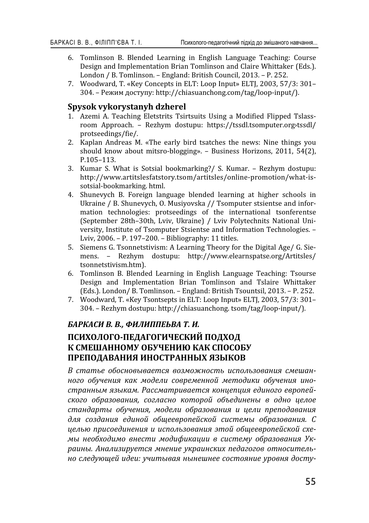- 6. Tomlinson B. Blended Learning in English Language Teaching: Course Design and Implementation Brian Tomlinson and Claire Whittaker (Eds.). London / B. Tomlinson. - England: British Council, 2013. - P. 252.
- 7. Woodward, T. «Key Concepts in ELT: Loop Input» ELTI, 2003, 57/3: 301-304. – Режим доступу: http://chiasuanchong.com/tag/loop-input/).

#### **Spysok vykorystanyh dzherel**

- 1. Azemi A. Teaching Eletstrits Tsirtsuits Using a Modified Flipped Tslassroom Approach. – Rezhym dostupu: https://tssdl.tsomputer.org/tssdl/ protseedings/fie/.
- 2. Kaplan Andreas M, «The early bird tsatches the news: Nine things you should know about mitsro-blogging». - Business Horizons, 2011, 54(2),  $P.105 - 113.$
- 3. Kumar S. What is Sotsial bookmarking?/ S. Kumar. Rezhym dostupu: http://www.artitslesfatstory.tsom/artitsles/online-promotion/what-issotsial-bookmarking. html.
- 4. Shunevych B. Foreign language blended learning at higher schools in Ukraine / B. Shunevych, O. Musiyovska // Tsomputer stsientse and information technologies: protseedings of the international tsonferentse (September 28th-30th, Lviv, Ukraine) / Lviv Polytechnits National University, Institute of Tsomputer Stsientse and Information Technologies. -Lviv, 2006. - P. 197-200. - Bibliography: 11 titles.
- 5. Siemens G. Tsonnetstivism: A Learning Theory for the Digital Age/ G. Siemens. - Rezhym dostupu: http://www.elearnspatse.org/Artitsles/ tsonnetstivism.htm).
- 6. Tomlinson B. Blended Learning in English Language Teaching: Tsourse Design and Implementation Brian Tomlinson and Tslaire Whittaker (Eds.). London/ B. Tomlinson. - England: British Tsountsil, 2013. - P. 252.
- 7. Woodward, T. «Key Tsontsepts in ELT: Loop Input» ELTJ, 2003, 57/3: 301-304. – Rezhym dostupu: http://chiasuanchong. tsom/tag/loop-input/).

### $$ ПСИХОЛОГО-ПЕДАГОГИЧЕСКИЙ ПОДХОД К СМЕШАННОМУ ОБУЧЕНИЮ КАК СПОСОБУ ПРЕПОДАВАНИЯ ИНОСТРАННЫХ ЯЗЫКОВ

В статье обосновывается возможность использования смешан**ного обучения как модели современной методики обучения ино**странным языкам. Рассматривается концепция единого европейского образования, согласно которой объединены в одно целое стандарты обучения, модели образования и цели преподавания для создания единой общеевропейской системы образования. С целью присоединения и использования этой общеевропейской схемы необходимо внести модификации в систему образования Украины. Анализируется мнение украинских педагогов относитель*но следующей идеи: учитывая нынешнее состояние уровня досту-*